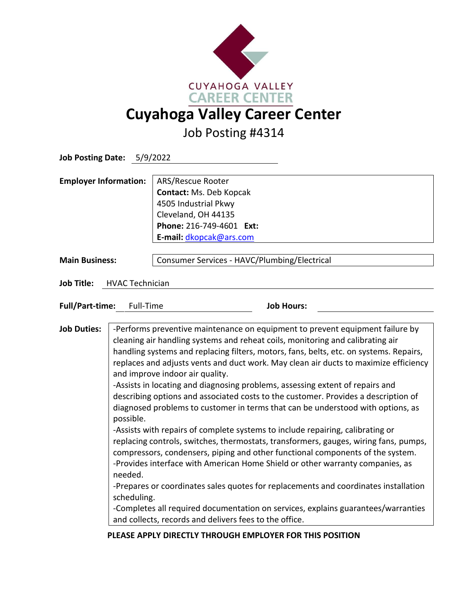

Job Posting #4314

| Job Posting Date: 5/9/2022                  |                                                                                                                                                                                                                                                                                                                                                                                                                                                                                                                                                                                                                                                                                                                                                                                                                                                                                                                                                                                                                                                                                                                                                                                                                                                                                                                                      |                                                                                                                                                    |  |
|---------------------------------------------|--------------------------------------------------------------------------------------------------------------------------------------------------------------------------------------------------------------------------------------------------------------------------------------------------------------------------------------------------------------------------------------------------------------------------------------------------------------------------------------------------------------------------------------------------------------------------------------------------------------------------------------------------------------------------------------------------------------------------------------------------------------------------------------------------------------------------------------------------------------------------------------------------------------------------------------------------------------------------------------------------------------------------------------------------------------------------------------------------------------------------------------------------------------------------------------------------------------------------------------------------------------------------------------------------------------------------------------|----------------------------------------------------------------------------------------------------------------------------------------------------|--|
| <b>Employer Information:</b>                |                                                                                                                                                                                                                                                                                                                                                                                                                                                                                                                                                                                                                                                                                                                                                                                                                                                                                                                                                                                                                                                                                                                                                                                                                                                                                                                                      | ARS/Rescue Rooter<br>Contact: Ms. Deb Kopcak<br>4505 Industrial Pkwy<br>Cleveland, OH 44135<br>Phone: 216-749-4601 Ext:<br>E-mail: dkopcak@ars.com |  |
| <b>Main Business:</b>                       |                                                                                                                                                                                                                                                                                                                                                                                                                                                                                                                                                                                                                                                                                                                                                                                                                                                                                                                                                                                                                                                                                                                                                                                                                                                                                                                                      | Consumer Services - HAVC/Plumbing/Electrical                                                                                                       |  |
| <b>Job Title:</b><br><b>HVAC Technician</b> |                                                                                                                                                                                                                                                                                                                                                                                                                                                                                                                                                                                                                                                                                                                                                                                                                                                                                                                                                                                                                                                                                                                                                                                                                                                                                                                                      |                                                                                                                                                    |  |
| <b>Full/Part-time:</b><br>Full-Time         |                                                                                                                                                                                                                                                                                                                                                                                                                                                                                                                                                                                                                                                                                                                                                                                                                                                                                                                                                                                                                                                                                                                                                                                                                                                                                                                                      | <b>Job Hours:</b>                                                                                                                                  |  |
| <b>Job Duties:</b>                          | -Performs preventive maintenance on equipment to prevent equipment failure by<br>cleaning air handling systems and reheat coils, monitoring and calibrating air<br>handling systems and replacing filters, motors, fans, belts, etc. on systems. Repairs,<br>replaces and adjusts vents and duct work. May clean air ducts to maximize efficiency<br>and improve indoor air quality.<br>-Assists in locating and diagnosing problems, assessing extent of repairs and<br>describing options and associated costs to the customer. Provides a description of<br>diagnosed problems to customer in terms that can be understood with options, as<br>possible.<br>-Assists with repairs of complete systems to include repairing, calibrating or<br>replacing controls, switches, thermostats, transformers, gauges, wiring fans, pumps,<br>compressors, condensers, piping and other functional components of the system.<br>-Provides interface with American Home Shield or other warranty companies, as<br>needed.<br>-Prepares or coordinates sales quotes for replacements and coordinates installation<br>scheduling.<br>-Completes all required documentation on services, explains guarantees/warranties<br>and collects, records and delivers fees to the office.<br>PLEASE APPLY DIRECTLY THROUGH EMPLOYER FOR THIS POSITION |                                                                                                                                                    |  |